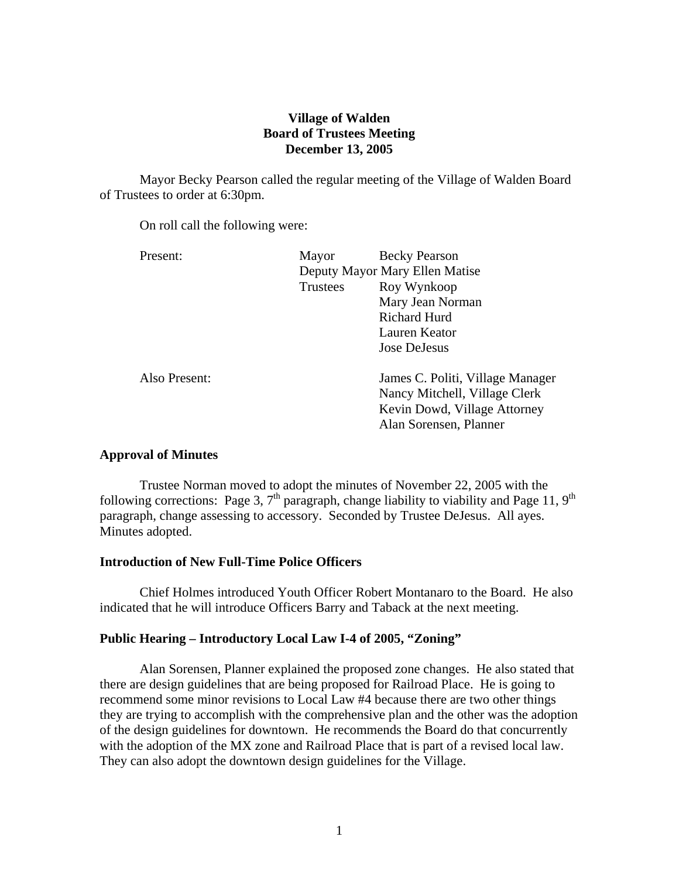# **Village of Walden Board of Trustees Meeting December 13, 2005**

 Mayor Becky Pearson called the regular meeting of the Village of Walden Board of Trustees to order at 6:30pm.

On roll call the following were:

| Present:      | Mayor                          | <b>Becky Pearson</b>             |
|---------------|--------------------------------|----------------------------------|
|               | Deputy Mayor Mary Ellen Matise |                                  |
|               | Trustees                       | Roy Wynkoop                      |
|               |                                | Mary Jean Norman                 |
|               |                                | <b>Richard Hurd</b>              |
|               |                                | Lauren Keator                    |
|               |                                | Jose DeJesus                     |
| Also Present: |                                | James C. Politi, Village Manager |
|               |                                | Nancy Mitchell, Village Clerk    |
|               |                                | Kevin Dowd, Village Attorney     |
|               |                                | Alan Sorensen, Planner           |

# **Approval of Minutes**

Trustee Norman moved to adopt the minutes of November 22, 2005 with the following corrections: Page 3,  $7<sup>th</sup>$  paragraph, change liability to viability and Page 11, 9<sup>th</sup> paragraph, change assessing to accessory. Seconded by Trustee DeJesus. All ayes. Minutes adopted.

# **Introduction of New Full-Time Police Officers**

Chief Holmes introduced Youth Officer Robert Montanaro to the Board. He also indicated that he will introduce Officers Barry and Taback at the next meeting.

## **Public Hearing – Introductory Local Law I-4 of 2005, "Zoning"**

Alan Sorensen, Planner explained the proposed zone changes. He also stated that there are design guidelines that are being proposed for Railroad Place. He is going to recommend some minor revisions to Local Law #4 because there are two other things they are trying to accomplish with the comprehensive plan and the other was the adoption of the design guidelines for downtown. He recommends the Board do that concurrently with the adoption of the MX zone and Railroad Place that is part of a revised local law. They can also adopt the downtown design guidelines for the Village.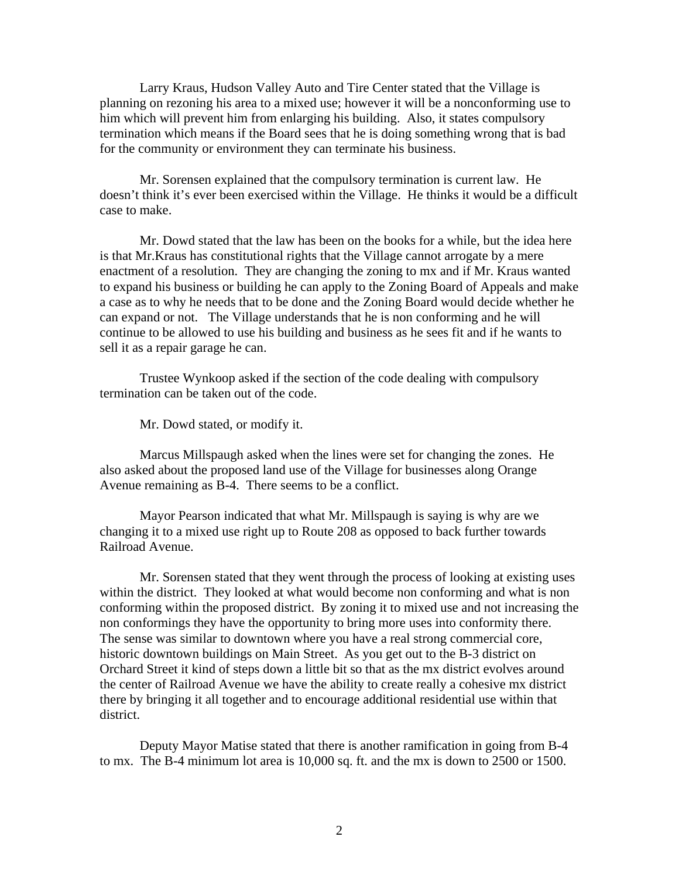Larry Kraus, Hudson Valley Auto and Tire Center stated that the Village is planning on rezoning his area to a mixed use; however it will be a nonconforming use to him which will prevent him from enlarging his building. Also, it states compulsory termination which means if the Board sees that he is doing something wrong that is bad for the community or environment they can terminate his business.

 Mr. Sorensen explained that the compulsory termination is current law. He doesn't think it's ever been exercised within the Village. He thinks it would be a difficult case to make.

 Mr. Dowd stated that the law has been on the books for a while, but the idea here is that Mr.Kraus has constitutional rights that the Village cannot arrogate by a mere enactment of a resolution. They are changing the zoning to mx and if Mr. Kraus wanted to expand his business or building he can apply to the Zoning Board of Appeals and make a case as to why he needs that to be done and the Zoning Board would decide whether he can expand or not. The Village understands that he is non conforming and he will continue to be allowed to use his building and business as he sees fit and if he wants to sell it as a repair garage he can.

 Trustee Wynkoop asked if the section of the code dealing with compulsory termination can be taken out of the code.

Mr. Dowd stated, or modify it.

 Marcus Millspaugh asked when the lines were set for changing the zones. He also asked about the proposed land use of the Village for businesses along Orange Avenue remaining as B-4. There seems to be a conflict.

 Mayor Pearson indicated that what Mr. Millspaugh is saying is why are we changing it to a mixed use right up to Route 208 as opposed to back further towards Railroad Avenue.

 Mr. Sorensen stated that they went through the process of looking at existing uses within the district. They looked at what would become non conforming and what is non conforming within the proposed district. By zoning it to mixed use and not increasing the non conformings they have the opportunity to bring more uses into conformity there. The sense was similar to downtown where you have a real strong commercial core, historic downtown buildings on Main Street. As you get out to the B-3 district on Orchard Street it kind of steps down a little bit so that as the mx district evolves around the center of Railroad Avenue we have the ability to create really a cohesive mx district there by bringing it all together and to encourage additional residential use within that district.

 Deputy Mayor Matise stated that there is another ramification in going from B-4 to mx. The B-4 minimum lot area is 10,000 sq. ft. and the mx is down to 2500 or 1500.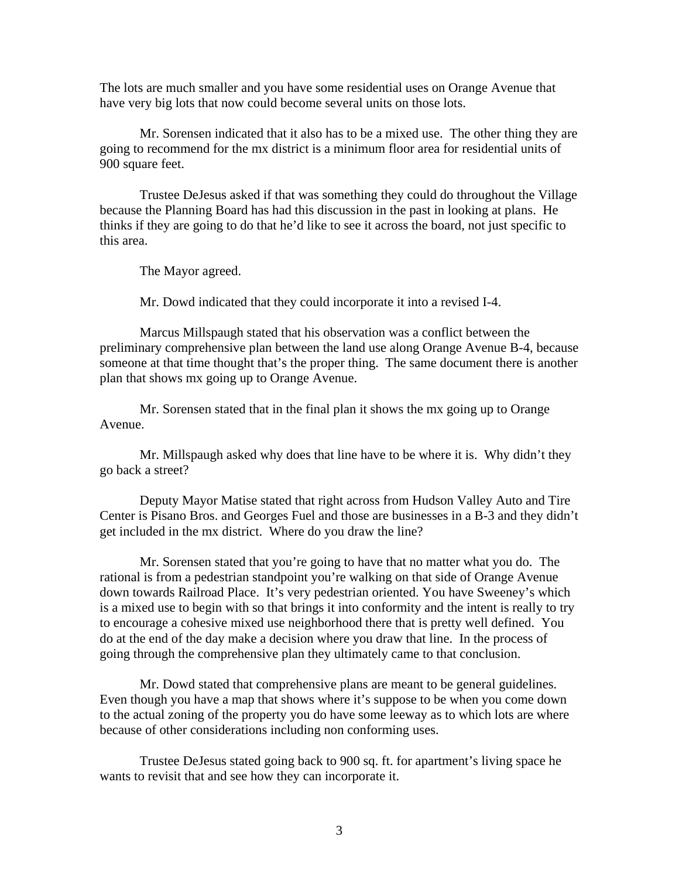The lots are much smaller and you have some residential uses on Orange Avenue that have very big lots that now could become several units on those lots.

 Mr. Sorensen indicated that it also has to be a mixed use. The other thing they are going to recommend for the mx district is a minimum floor area for residential units of 900 square feet.

 Trustee DeJesus asked if that was something they could do throughout the Village because the Planning Board has had this discussion in the past in looking at plans. He thinks if they are going to do that he'd like to see it across the board, not just specific to this area.

The Mayor agreed.

Mr. Dowd indicated that they could incorporate it into a revised I-4.

 Marcus Millspaugh stated that his observation was a conflict between the preliminary comprehensive plan between the land use along Orange Avenue B-4, because someone at that time thought that's the proper thing. The same document there is another plan that shows mx going up to Orange Avenue.

 Mr. Sorensen stated that in the final plan it shows the mx going up to Orange Avenue.

 Mr. Millspaugh asked why does that line have to be where it is. Why didn't they go back a street?

 Deputy Mayor Matise stated that right across from Hudson Valley Auto and Tire Center is Pisano Bros. and Georges Fuel and those are businesses in a B-3 and they didn't get included in the mx district. Where do you draw the line?

 Mr. Sorensen stated that you're going to have that no matter what you do. The rational is from a pedestrian standpoint you're walking on that side of Orange Avenue down towards Railroad Place. It's very pedestrian oriented. You have Sweeney's which is a mixed use to begin with so that brings it into conformity and the intent is really to try to encourage a cohesive mixed use neighborhood there that is pretty well defined. You do at the end of the day make a decision where you draw that line. In the process of going through the comprehensive plan they ultimately came to that conclusion.

 Mr. Dowd stated that comprehensive plans are meant to be general guidelines. Even though you have a map that shows where it's suppose to be when you come down to the actual zoning of the property you do have some leeway as to which lots are where because of other considerations including non conforming uses.

 Trustee DeJesus stated going back to 900 sq. ft. for apartment's living space he wants to revisit that and see how they can incorporate it.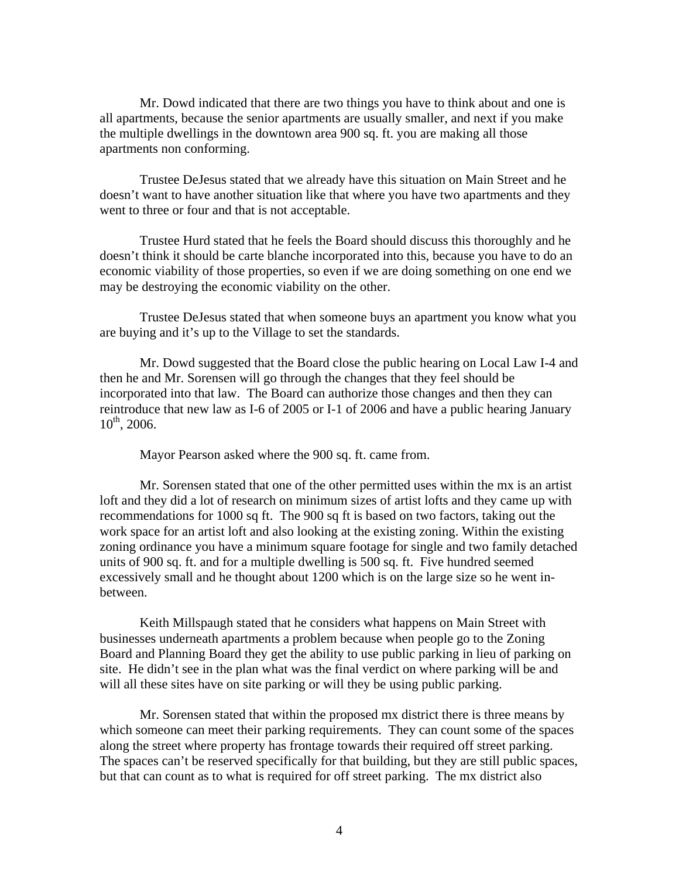Mr. Dowd indicated that there are two things you have to think about and one is all apartments, because the senior apartments are usually smaller, and next if you make the multiple dwellings in the downtown area 900 sq. ft. you are making all those apartments non conforming.

 Trustee DeJesus stated that we already have this situation on Main Street and he doesn't want to have another situation like that where you have two apartments and they went to three or four and that is not acceptable.

 Trustee Hurd stated that he feels the Board should discuss this thoroughly and he doesn't think it should be carte blanche incorporated into this, because you have to do an economic viability of those properties, so even if we are doing something on one end we may be destroying the economic viability on the other.

 Trustee DeJesus stated that when someone buys an apartment you know what you are buying and it's up to the Village to set the standards.

 Mr. Dowd suggested that the Board close the public hearing on Local Law I-4 and then he and Mr. Sorensen will go through the changes that they feel should be incorporated into that law. The Board can authorize those changes and then they can reintroduce that new law as I-6 of 2005 or I-1 of 2006 and have a public hearing January  $10^{th}$ , 2006.

Mayor Pearson asked where the 900 sq. ft. came from.

 Mr. Sorensen stated that one of the other permitted uses within the mx is an artist loft and they did a lot of research on minimum sizes of artist lofts and they came up with recommendations for 1000 sq ft. The 900 sq ft is based on two factors, taking out the work space for an artist loft and also looking at the existing zoning. Within the existing zoning ordinance you have a minimum square footage for single and two family detached units of 900 sq. ft. and for a multiple dwelling is 500 sq. ft. Five hundred seemed excessively small and he thought about 1200 which is on the large size so he went inbetween.

 Keith Millspaugh stated that he considers what happens on Main Street with businesses underneath apartments a problem because when people go to the Zoning Board and Planning Board they get the ability to use public parking in lieu of parking on site. He didn't see in the plan what was the final verdict on where parking will be and will all these sites have on site parking or will they be using public parking.

 Mr. Sorensen stated that within the proposed mx district there is three means by which someone can meet their parking requirements. They can count some of the spaces along the street where property has frontage towards their required off street parking. The spaces can't be reserved specifically for that building, but they are still public spaces, but that can count as to what is required for off street parking. The mx district also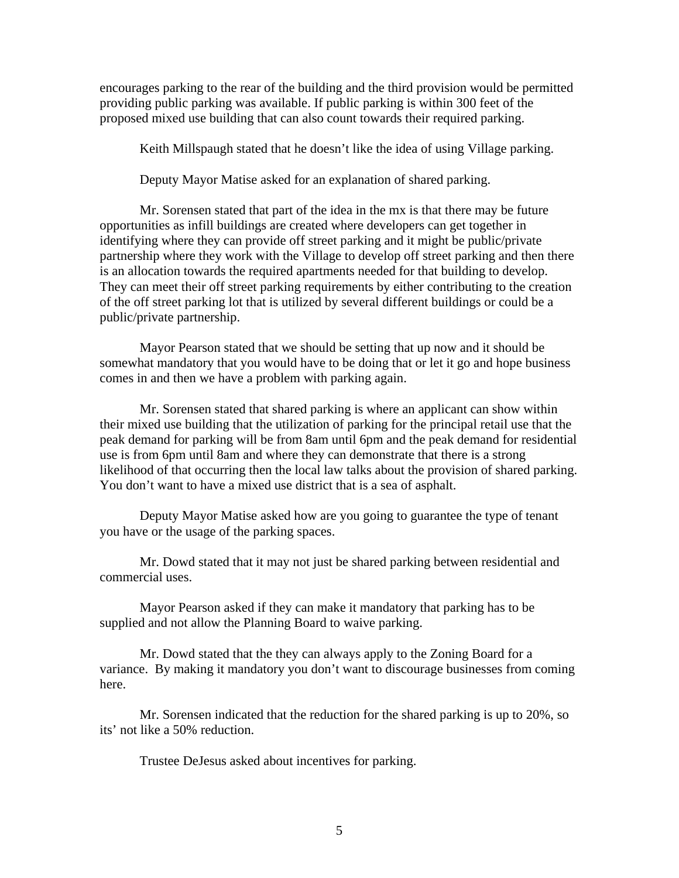encourages parking to the rear of the building and the third provision would be permitted providing public parking was available. If public parking is within 300 feet of the proposed mixed use building that can also count towards their required parking.

Keith Millspaugh stated that he doesn't like the idea of using Village parking.

Deputy Mayor Matise asked for an explanation of shared parking.

 Mr. Sorensen stated that part of the idea in the mx is that there may be future opportunities as infill buildings are created where developers can get together in identifying where they can provide off street parking and it might be public/private partnership where they work with the Village to develop off street parking and then there is an allocation towards the required apartments needed for that building to develop. They can meet their off street parking requirements by either contributing to the creation of the off street parking lot that is utilized by several different buildings or could be a public/private partnership.

 Mayor Pearson stated that we should be setting that up now and it should be somewhat mandatory that you would have to be doing that or let it go and hope business comes in and then we have a problem with parking again.

 Mr. Sorensen stated that shared parking is where an applicant can show within their mixed use building that the utilization of parking for the principal retail use that the peak demand for parking will be from 8am until 6pm and the peak demand for residential use is from 6pm until 8am and where they can demonstrate that there is a strong likelihood of that occurring then the local law talks about the provision of shared parking. You don't want to have a mixed use district that is a sea of asphalt.

 Deputy Mayor Matise asked how are you going to guarantee the type of tenant you have or the usage of the parking spaces.

 Mr. Dowd stated that it may not just be shared parking between residential and commercial uses.

 Mayor Pearson asked if they can make it mandatory that parking has to be supplied and not allow the Planning Board to waive parking.

 Mr. Dowd stated that the they can always apply to the Zoning Board for a variance. By making it mandatory you don't want to discourage businesses from coming here.

 Mr. Sorensen indicated that the reduction for the shared parking is up to 20%, so its' not like a 50% reduction.

Trustee DeJesus asked about incentives for parking.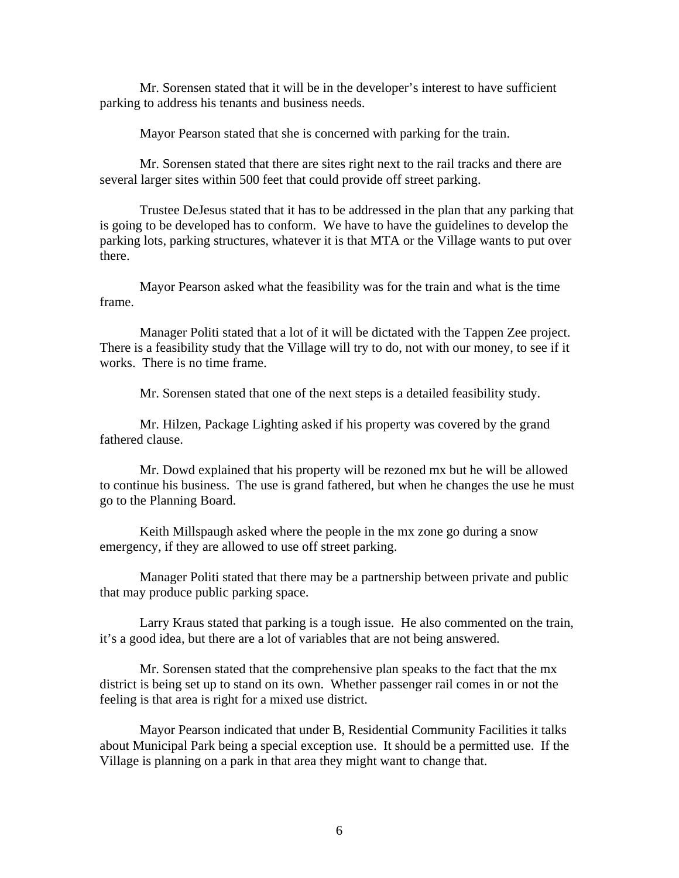Mr. Sorensen stated that it will be in the developer's interest to have sufficient parking to address his tenants and business needs.

Mayor Pearson stated that she is concerned with parking for the train.

 Mr. Sorensen stated that there are sites right next to the rail tracks and there are several larger sites within 500 feet that could provide off street parking.

 Trustee DeJesus stated that it has to be addressed in the plan that any parking that is going to be developed has to conform. We have to have the guidelines to develop the parking lots, parking structures, whatever it is that MTA or the Village wants to put over there.

 Mayor Pearson asked what the feasibility was for the train and what is the time frame.

 Manager Politi stated that a lot of it will be dictated with the Tappen Zee project. There is a feasibility study that the Village will try to do, not with our money, to see if it works. There is no time frame.

Mr. Sorensen stated that one of the next steps is a detailed feasibility study.

 Mr. Hilzen, Package Lighting asked if his property was covered by the grand fathered clause.

 Mr. Dowd explained that his property will be rezoned mx but he will be allowed to continue his business. The use is grand fathered, but when he changes the use he must go to the Planning Board.

 Keith Millspaugh asked where the people in the mx zone go during a snow emergency, if they are allowed to use off street parking.

 Manager Politi stated that there may be a partnership between private and public that may produce public parking space.

 Larry Kraus stated that parking is a tough issue. He also commented on the train, it's a good idea, but there are a lot of variables that are not being answered.

 Mr. Sorensen stated that the comprehensive plan speaks to the fact that the mx district is being set up to stand on its own. Whether passenger rail comes in or not the feeling is that area is right for a mixed use district.

 Mayor Pearson indicated that under B, Residential Community Facilities it talks about Municipal Park being a special exception use. It should be a permitted use. If the Village is planning on a park in that area they might want to change that.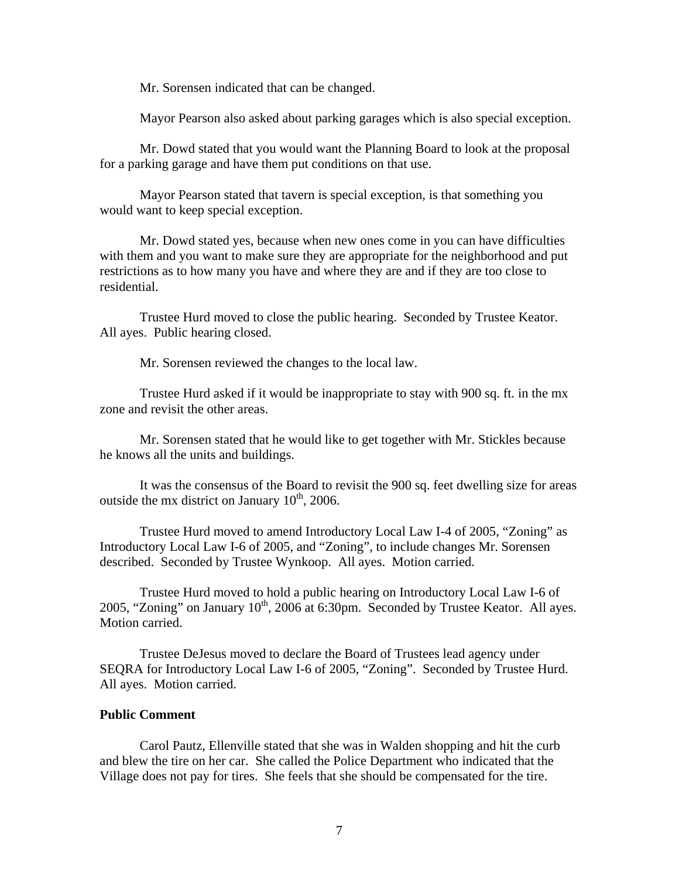Mr. Sorensen indicated that can be changed.

Mayor Pearson also asked about parking garages which is also special exception.

Mr. Dowd stated that you would want the Planning Board to look at the proposal for a parking garage and have them put conditions on that use.

Mayor Pearson stated that tavern is special exception, is that something you would want to keep special exception.

Mr. Dowd stated yes, because when new ones come in you can have difficulties with them and you want to make sure they are appropriate for the neighborhood and put restrictions as to how many you have and where they are and if they are too close to residential.

 Trustee Hurd moved to close the public hearing. Seconded by Trustee Keator. All ayes. Public hearing closed.

Mr. Sorensen reviewed the changes to the local law.

 Trustee Hurd asked if it would be inappropriate to stay with 900 sq. ft. in the mx zone and revisit the other areas.

 Mr. Sorensen stated that he would like to get together with Mr. Stickles because he knows all the units and buildings.

 It was the consensus of the Board to revisit the 900 sq. feet dwelling size for areas outside the mx district on January  $10^{th}$ , 2006.

 Trustee Hurd moved to amend Introductory Local Law I-4 of 2005, "Zoning" as Introductory Local Law I-6 of 2005, and "Zoning", to include changes Mr. Sorensen described. Seconded by Trustee Wynkoop. All ayes. Motion carried.

 Trustee Hurd moved to hold a public hearing on Introductory Local Law I-6 of 2005, "Zoning" on January  $10<sup>th</sup>$ , 2006 at 6:30pm. Seconded by Trustee Keator. All ayes. Motion carried.

 Trustee DeJesus moved to declare the Board of Trustees lead agency under SEQRA for Introductory Local Law I-6 of 2005, "Zoning". Seconded by Trustee Hurd. All ayes. Motion carried.

# **Public Comment**

Carol Pautz, Ellenville stated that she was in Walden shopping and hit the curb and blew the tire on her car. She called the Police Department who indicated that the Village does not pay for tires. She feels that she should be compensated for the tire.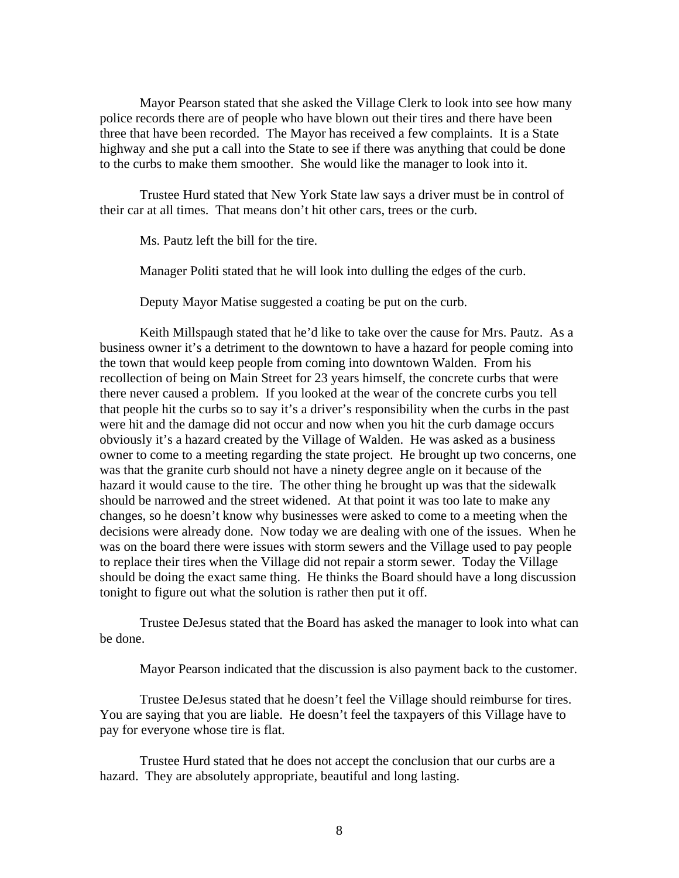Mayor Pearson stated that she asked the Village Clerk to look into see how many police records there are of people who have blown out their tires and there have been three that have been recorded. The Mayor has received a few complaints. It is a State highway and she put a call into the State to see if there was anything that could be done to the curbs to make them smoother. She would like the manager to look into it.

 Trustee Hurd stated that New York State law says a driver must be in control of their car at all times. That means don't hit other cars, trees or the curb.

Ms. Pautz left the bill for the tire.

Manager Politi stated that he will look into dulling the edges of the curb.

Deputy Mayor Matise suggested a coating be put on the curb.

 Keith Millspaugh stated that he'd like to take over the cause for Mrs. Pautz. As a business owner it's a detriment to the downtown to have a hazard for people coming into the town that would keep people from coming into downtown Walden. From his recollection of being on Main Street for 23 years himself, the concrete curbs that were there never caused a problem. If you looked at the wear of the concrete curbs you tell that people hit the curbs so to say it's a driver's responsibility when the curbs in the past were hit and the damage did not occur and now when you hit the curb damage occurs obviously it's a hazard created by the Village of Walden. He was asked as a business owner to come to a meeting regarding the state project. He brought up two concerns, one was that the granite curb should not have a ninety degree angle on it because of the hazard it would cause to the tire. The other thing he brought up was that the sidewalk should be narrowed and the street widened. At that point it was too late to make any changes, so he doesn't know why businesses were asked to come to a meeting when the decisions were already done. Now today we are dealing with one of the issues. When he was on the board there were issues with storm sewers and the Village used to pay people to replace their tires when the Village did not repair a storm sewer. Today the Village should be doing the exact same thing. He thinks the Board should have a long discussion tonight to figure out what the solution is rather then put it off.

 Trustee DeJesus stated that the Board has asked the manager to look into what can be done.

Mayor Pearson indicated that the discussion is also payment back to the customer.

 Trustee DeJesus stated that he doesn't feel the Village should reimburse for tires. You are saying that you are liable. He doesn't feel the taxpayers of this Village have to pay for everyone whose tire is flat.

 Trustee Hurd stated that he does not accept the conclusion that our curbs are a hazard. They are absolutely appropriate, beautiful and long lasting.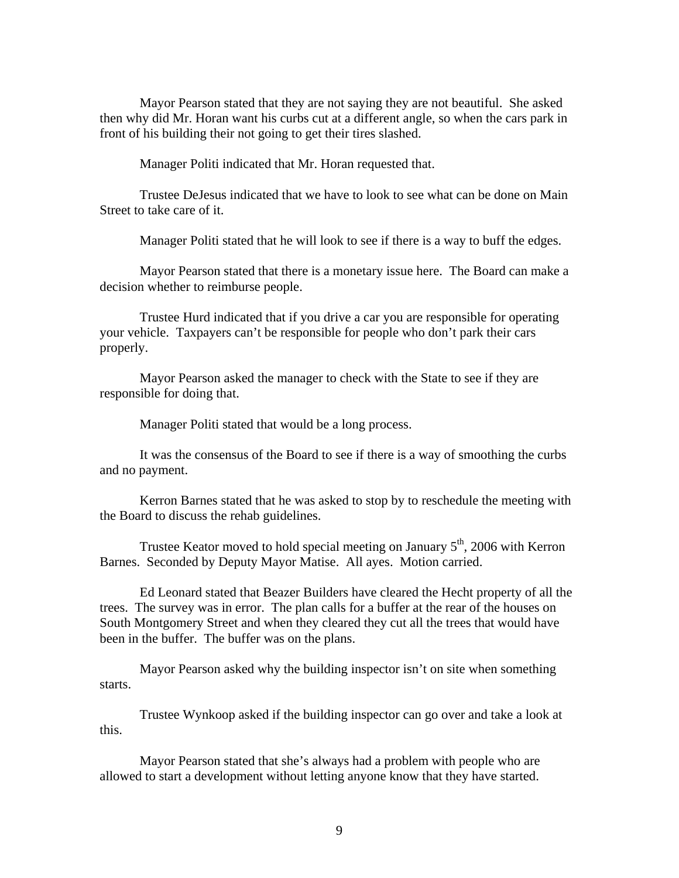Mayor Pearson stated that they are not saying they are not beautiful. She asked then why did Mr. Horan want his curbs cut at a different angle, so when the cars park in front of his building their not going to get their tires slashed.

Manager Politi indicated that Mr. Horan requested that.

 Trustee DeJesus indicated that we have to look to see what can be done on Main Street to take care of it.

Manager Politi stated that he will look to see if there is a way to buff the edges.

 Mayor Pearson stated that there is a monetary issue here. The Board can make a decision whether to reimburse people.

 Trustee Hurd indicated that if you drive a car you are responsible for operating your vehicle. Taxpayers can't be responsible for people who don't park their cars properly.

 Mayor Pearson asked the manager to check with the State to see if they are responsible for doing that.

Manager Politi stated that would be a long process.

It was the consensus of the Board to see if there is a way of smoothing the curbs and no payment.

 Kerron Barnes stated that he was asked to stop by to reschedule the meeting with the Board to discuss the rehab guidelines.

Trustee Keator moved to hold special meeting on January  $5<sup>th</sup>$ , 2006 with Kerron Barnes. Seconded by Deputy Mayor Matise. All ayes. Motion carried.

 Ed Leonard stated that Beazer Builders have cleared the Hecht property of all the trees. The survey was in error. The plan calls for a buffer at the rear of the houses on South Montgomery Street and when they cleared they cut all the trees that would have been in the buffer. The buffer was on the plans.

 Mayor Pearson asked why the building inspector isn't on site when something starts.

 Trustee Wynkoop asked if the building inspector can go over and take a look at this.

 Mayor Pearson stated that she's always had a problem with people who are allowed to start a development without letting anyone know that they have started.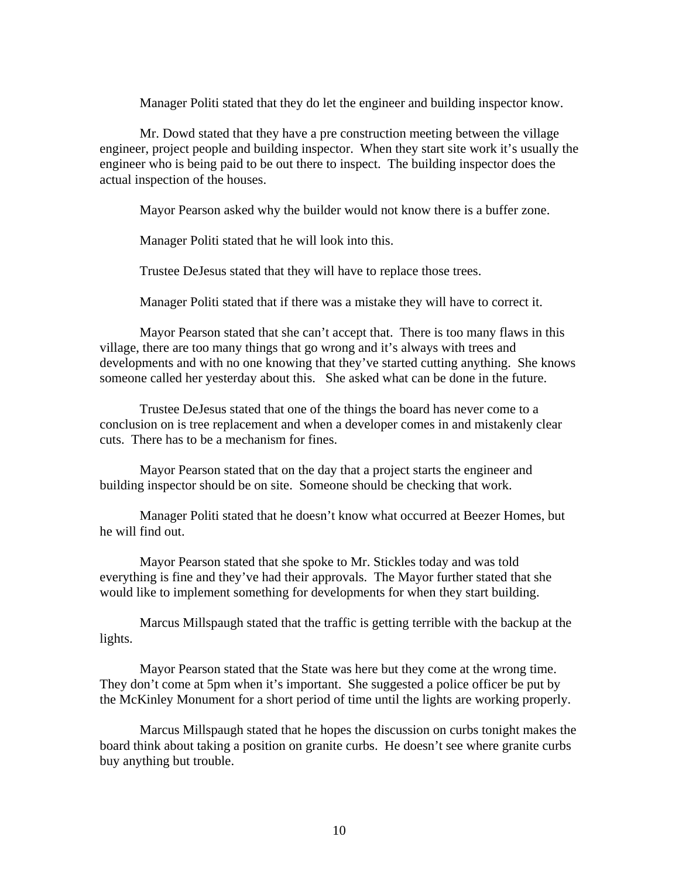Manager Politi stated that they do let the engineer and building inspector know.

 Mr. Dowd stated that they have a pre construction meeting between the village engineer, project people and building inspector. When they start site work it's usually the engineer who is being paid to be out there to inspect. The building inspector does the actual inspection of the houses.

Mayor Pearson asked why the builder would not know there is a buffer zone.

Manager Politi stated that he will look into this.

Trustee DeJesus stated that they will have to replace those trees.

Manager Politi stated that if there was a mistake they will have to correct it.

 Mayor Pearson stated that she can't accept that. There is too many flaws in this village, there are too many things that go wrong and it's always with trees and developments and with no one knowing that they've started cutting anything. She knows someone called her yesterday about this. She asked what can be done in the future.

 Trustee DeJesus stated that one of the things the board has never come to a conclusion on is tree replacement and when a developer comes in and mistakenly clear cuts. There has to be a mechanism for fines.

 Mayor Pearson stated that on the day that a project starts the engineer and building inspector should be on site. Someone should be checking that work.

 Manager Politi stated that he doesn't know what occurred at Beezer Homes, but he will find out.

 Mayor Pearson stated that she spoke to Mr. Stickles today and was told everything is fine and they've had their approvals. The Mayor further stated that she would like to implement something for developments for when they start building.

 Marcus Millspaugh stated that the traffic is getting terrible with the backup at the lights.

 Mayor Pearson stated that the State was here but they come at the wrong time. They don't come at 5pm when it's important. She suggested a police officer be put by the McKinley Monument for a short period of time until the lights are working properly.

 Marcus Millspaugh stated that he hopes the discussion on curbs tonight makes the board think about taking a position on granite curbs. He doesn't see where granite curbs buy anything but trouble.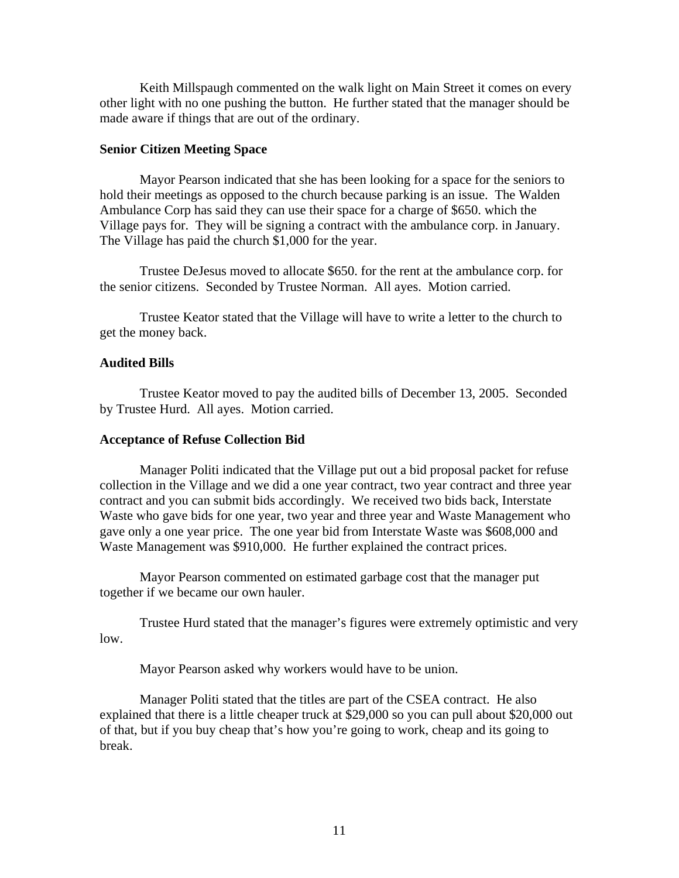Keith Millspaugh commented on the walk light on Main Street it comes on every other light with no one pushing the button. He further stated that the manager should be made aware if things that are out of the ordinary.

## **Senior Citizen Meeting Space**

Mayor Pearson indicated that she has been looking for a space for the seniors to hold their meetings as opposed to the church because parking is an issue. The Walden Ambulance Corp has said they can use their space for a charge of \$650. which the Village pays for. They will be signing a contract with the ambulance corp. in January. The Village has paid the church \$1,000 for the year.

 Trustee DeJesus moved to allocate \$650. for the rent at the ambulance corp. for the senior citizens. Seconded by Trustee Norman. All ayes. Motion carried.

 Trustee Keator stated that the Village will have to write a letter to the church to get the money back.

### **Audited Bills**

Trustee Keator moved to pay the audited bills of December 13, 2005. Seconded by Trustee Hurd. All ayes. Motion carried.

### **Acceptance of Refuse Collection Bid**

Manager Politi indicated that the Village put out a bid proposal packet for refuse collection in the Village and we did a one year contract, two year contract and three year contract and you can submit bids accordingly. We received two bids back, Interstate Waste who gave bids for one year, two year and three year and Waste Management who gave only a one year price. The one year bid from Interstate Waste was \$608,000 and Waste Management was \$910,000. He further explained the contract prices.

 Mayor Pearson commented on estimated garbage cost that the manager put together if we became our own hauler.

 Trustee Hurd stated that the manager's figures were extremely optimistic and very low.

Mayor Pearson asked why workers would have to be union.

 Manager Politi stated that the titles are part of the CSEA contract. He also explained that there is a little cheaper truck at \$29,000 so you can pull about \$20,000 out of that, but if you buy cheap that's how you're going to work, cheap and its going to break.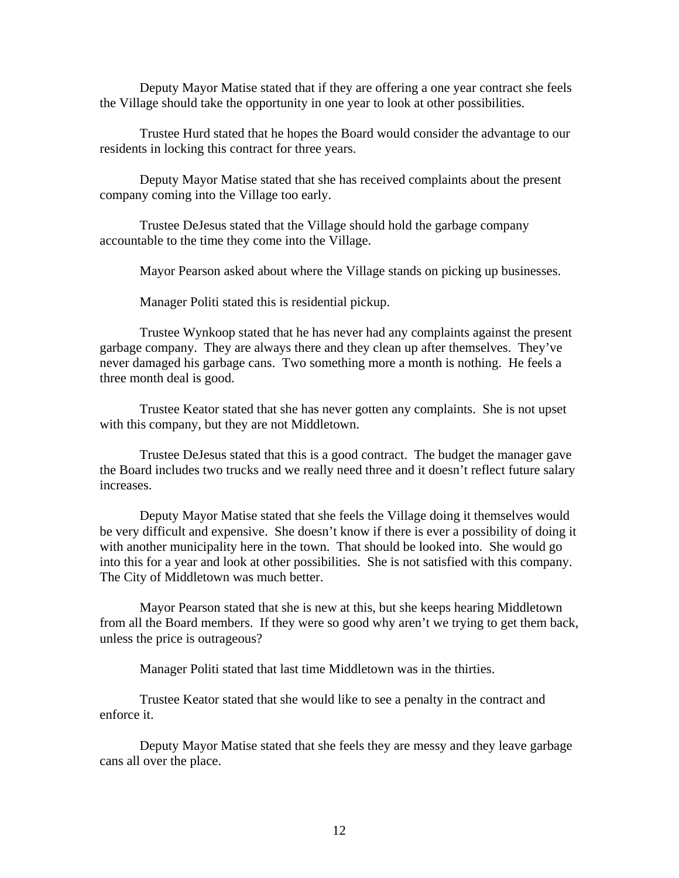Deputy Mayor Matise stated that if they are offering a one year contract she feels the Village should take the opportunity in one year to look at other possibilities.

 Trustee Hurd stated that he hopes the Board would consider the advantage to our residents in locking this contract for three years.

 Deputy Mayor Matise stated that she has received complaints about the present company coming into the Village too early.

 Trustee DeJesus stated that the Village should hold the garbage company accountable to the time they come into the Village.

Mayor Pearson asked about where the Village stands on picking up businesses.

Manager Politi stated this is residential pickup.

 Trustee Wynkoop stated that he has never had any complaints against the present garbage company. They are always there and they clean up after themselves. They've never damaged his garbage cans. Two something more a month is nothing. He feels a three month deal is good.

 Trustee Keator stated that she has never gotten any complaints. She is not upset with this company, but they are not Middletown.

 Trustee DeJesus stated that this is a good contract. The budget the manager gave the Board includes two trucks and we really need three and it doesn't reflect future salary increases.

 Deputy Mayor Matise stated that she feels the Village doing it themselves would be very difficult and expensive. She doesn't know if there is ever a possibility of doing it with another municipality here in the town. That should be looked into. She would go into this for a year and look at other possibilities. She is not satisfied with this company. The City of Middletown was much better.

 Mayor Pearson stated that she is new at this, but she keeps hearing Middletown from all the Board members. If they were so good why aren't we trying to get them back, unless the price is outrageous?

Manager Politi stated that last time Middletown was in the thirties.

 Trustee Keator stated that she would like to see a penalty in the contract and enforce it.

 Deputy Mayor Matise stated that she feels they are messy and they leave garbage cans all over the place.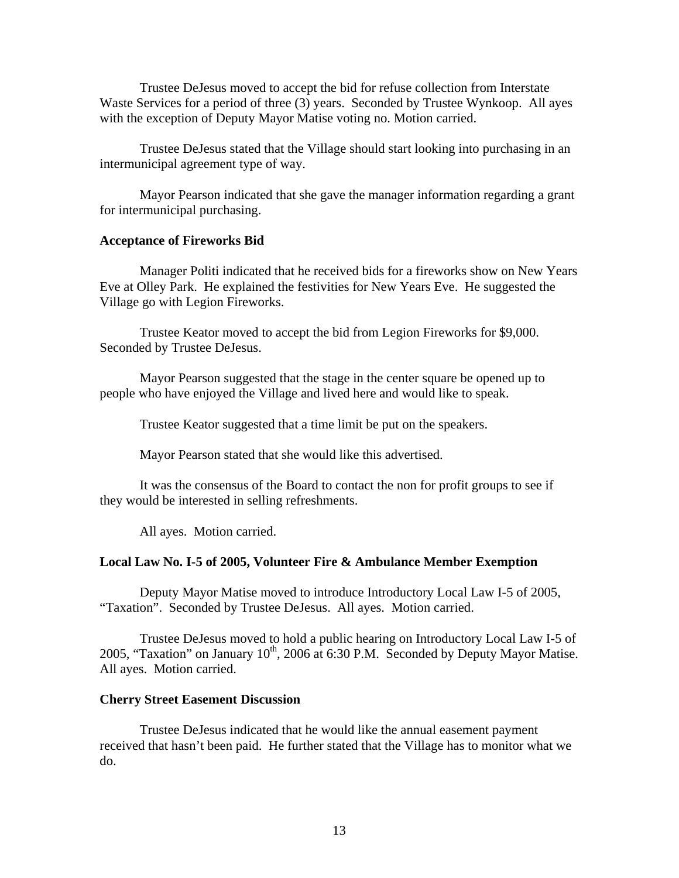Trustee DeJesus moved to accept the bid for refuse collection from Interstate Waste Services for a period of three (3) years. Seconded by Trustee Wynkoop. All ayes with the exception of Deputy Mayor Matise voting no. Motion carried.

 Trustee DeJesus stated that the Village should start looking into purchasing in an intermunicipal agreement type of way.

 Mayor Pearson indicated that she gave the manager information regarding a grant for intermunicipal purchasing.

### **Acceptance of Fireworks Bid**

Manager Politi indicated that he received bids for a fireworks show on New Years Eve at Olley Park. He explained the festivities for New Years Eve. He suggested the Village go with Legion Fireworks.

Trustee Keator moved to accept the bid from Legion Fireworks for \$9,000. Seconded by Trustee DeJesus.

 Mayor Pearson suggested that the stage in the center square be opened up to people who have enjoyed the Village and lived here and would like to speak.

Trustee Keator suggested that a time limit be put on the speakers.

Mayor Pearson stated that she would like this advertised.

 It was the consensus of the Board to contact the non for profit groups to see if they would be interested in selling refreshments.

All ayes. Motion carried.

#### **Local Law No. I-5 of 2005, Volunteer Fire & Ambulance Member Exemption**

Deputy Mayor Matise moved to introduce Introductory Local Law I-5 of 2005, "Taxation". Seconded by Trustee DeJesus. All ayes. Motion carried.

 Trustee DeJesus moved to hold a public hearing on Introductory Local Law I-5 of 2005, "Taxation" on January  $10^{th}$ , 2006 at 6:30 P.M. Seconded by Deputy Mayor Matise. All ayes. Motion carried.

#### **Cherry Street Easement Discussion**

Trustee DeJesus indicated that he would like the annual easement payment received that hasn't been paid. He further stated that the Village has to monitor what we do.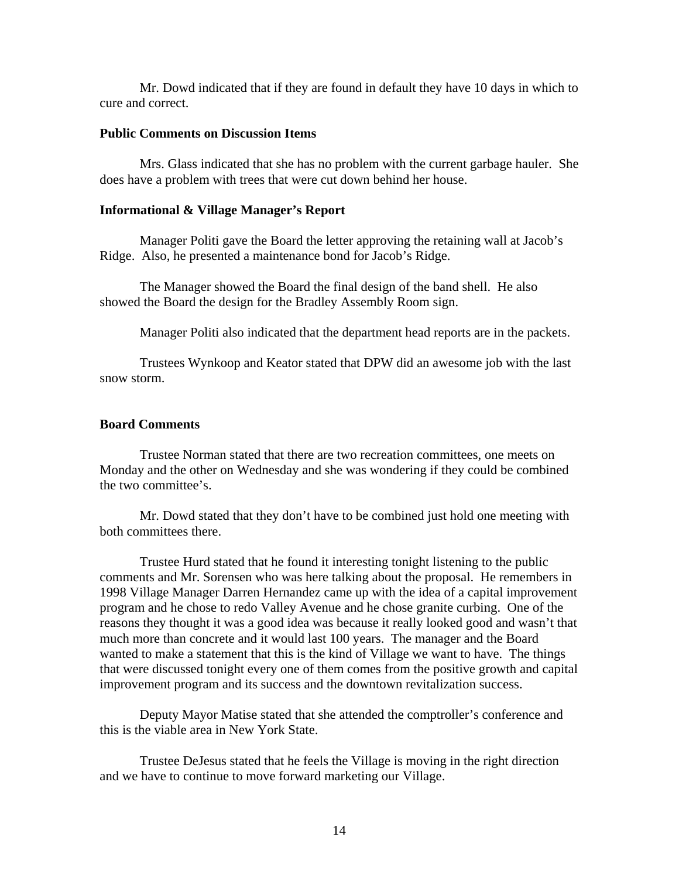Mr. Dowd indicated that if they are found in default they have 10 days in which to cure and correct.

#### **Public Comments on Discussion Items**

Mrs. Glass indicated that she has no problem with the current garbage hauler. She does have a problem with trees that were cut down behind her house.

### **Informational & Village Manager's Report**

Manager Politi gave the Board the letter approving the retaining wall at Jacob's Ridge. Also, he presented a maintenance bond for Jacob's Ridge.

 The Manager showed the Board the final design of the band shell. He also showed the Board the design for the Bradley Assembly Room sign.

Manager Politi also indicated that the department head reports are in the packets.

 Trustees Wynkoop and Keator stated that DPW did an awesome job with the last snow storm.

#### **Board Comments**

Trustee Norman stated that there are two recreation committees, one meets on Monday and the other on Wednesday and she was wondering if they could be combined the two committee's.

 Mr. Dowd stated that they don't have to be combined just hold one meeting with both committees there.

 Trustee Hurd stated that he found it interesting tonight listening to the public comments and Mr. Sorensen who was here talking about the proposal. He remembers in 1998 Village Manager Darren Hernandez came up with the idea of a capital improvement program and he chose to redo Valley Avenue and he chose granite curbing. One of the reasons they thought it was a good idea was because it really looked good and wasn't that much more than concrete and it would last 100 years. The manager and the Board wanted to make a statement that this is the kind of Village we want to have. The things that were discussed tonight every one of them comes from the positive growth and capital improvement program and its success and the downtown revitalization success.

 Deputy Mayor Matise stated that she attended the comptroller's conference and this is the viable area in New York State.

 Trustee DeJesus stated that he feels the Village is moving in the right direction and we have to continue to move forward marketing our Village.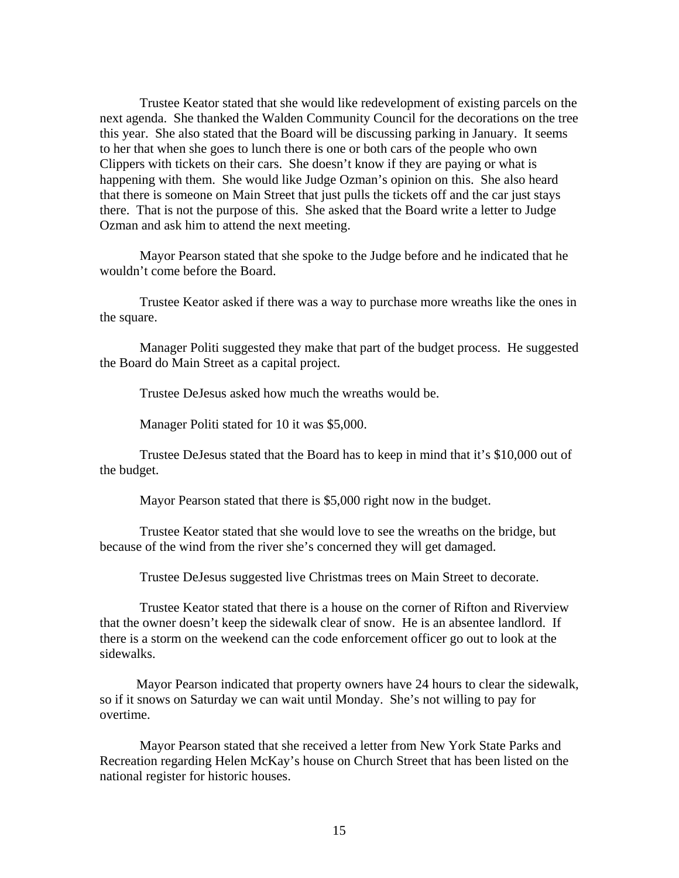Trustee Keator stated that she would like redevelopment of existing parcels on the next agenda. She thanked the Walden Community Council for the decorations on the tree this year. She also stated that the Board will be discussing parking in January. It seems to her that when she goes to lunch there is one or both cars of the people who own Clippers with tickets on their cars. She doesn't know if they are paying or what is happening with them. She would like Judge Ozman's opinion on this. She also heard that there is someone on Main Street that just pulls the tickets off and the car just stays there. That is not the purpose of this. She asked that the Board write a letter to Judge Ozman and ask him to attend the next meeting.

 Mayor Pearson stated that she spoke to the Judge before and he indicated that he wouldn't come before the Board.

 Trustee Keator asked if there was a way to purchase more wreaths like the ones in the square.

 Manager Politi suggested they make that part of the budget process. He suggested the Board do Main Street as a capital project.

Trustee DeJesus asked how much the wreaths would be.

Manager Politi stated for 10 it was \$5,000.

 Trustee DeJesus stated that the Board has to keep in mind that it's \$10,000 out of the budget.

Mayor Pearson stated that there is \$5,000 right now in the budget.

 Trustee Keator stated that she would love to see the wreaths on the bridge, but because of the wind from the river she's concerned they will get damaged.

Trustee DeJesus suggested live Christmas trees on Main Street to decorate.

 Trustee Keator stated that there is a house on the corner of Rifton and Riverview that the owner doesn't keep the sidewalk clear of snow. He is an absentee landlord. If there is a storm on the weekend can the code enforcement officer go out to look at the sidewalks.

 Mayor Pearson indicated that property owners have 24 hours to clear the sidewalk, so if it snows on Saturday we can wait until Monday. She's not willing to pay for overtime.

 Mayor Pearson stated that she received a letter from New York State Parks and Recreation regarding Helen McKay's house on Church Street that has been listed on the national register for historic houses.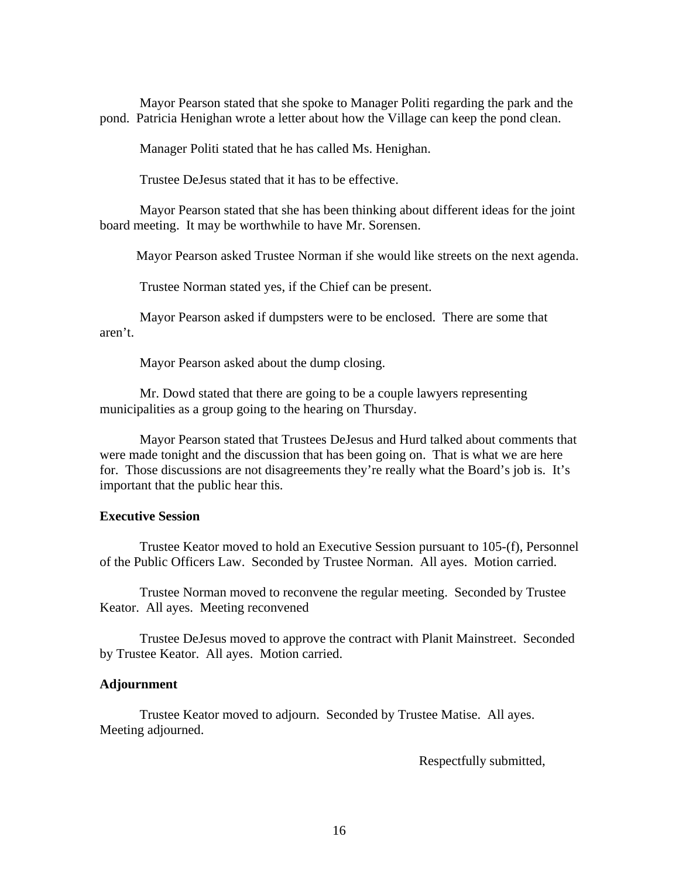Mayor Pearson stated that she spoke to Manager Politi regarding the park and the pond. Patricia Henighan wrote a letter about how the Village can keep the pond clean.

Manager Politi stated that he has called Ms. Henighan.

Trustee DeJesus stated that it has to be effective.

 Mayor Pearson stated that she has been thinking about different ideas for the joint board meeting. It may be worthwhile to have Mr. Sorensen.

Mayor Pearson asked Trustee Norman if she would like streets on the next agenda.

Trustee Norman stated yes, if the Chief can be present.

 Mayor Pearson asked if dumpsters were to be enclosed. There are some that aren't.

Mayor Pearson asked about the dump closing.

 Mr. Dowd stated that there are going to be a couple lawyers representing municipalities as a group going to the hearing on Thursday.

 Mayor Pearson stated that Trustees DeJesus and Hurd talked about comments that were made tonight and the discussion that has been going on. That is what we are here for. Those discussions are not disagreements they're really what the Board's job is. It's important that the public hear this.

#### **Executive Session**

Trustee Keator moved to hold an Executive Session pursuant to 105-(f), Personnel of the Public Officers Law. Seconded by Trustee Norman. All ayes. Motion carried.

 Trustee Norman moved to reconvene the regular meeting. Seconded by Trustee Keator. All ayes. Meeting reconvened

 Trustee DeJesus moved to approve the contract with Planit Mainstreet. Seconded by Trustee Keator. All ayes. Motion carried.

### **Adjournment**

Trustee Keator moved to adjourn. Seconded by Trustee Matise. All ayes. Meeting adjourned.

Respectfully submitted,